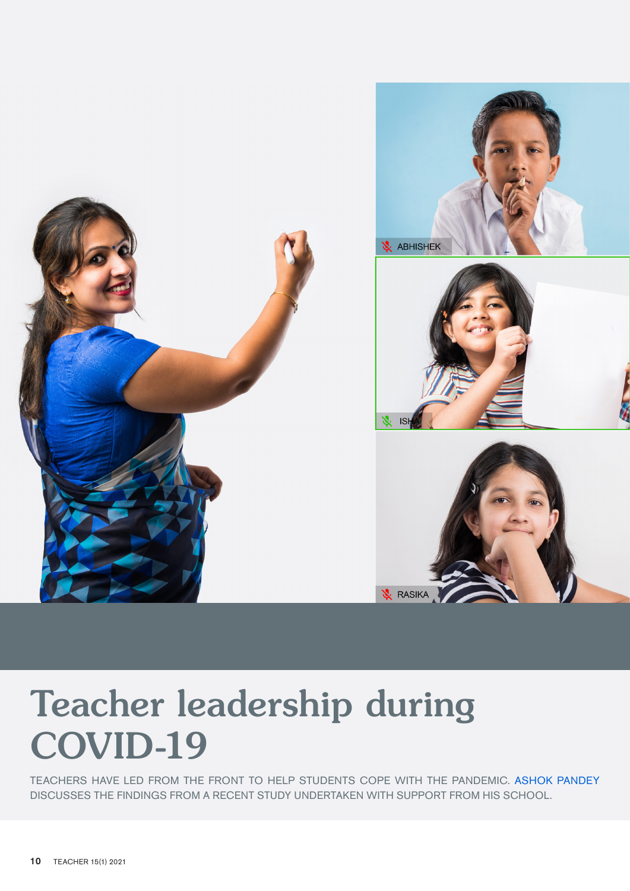

## Teacher leadership during COVID-19

TEACHERS HAVE LED FROM THE FRONT TO HELP STUDENTS COPE WITH THE PANDEMIC. ASHOK PANDEY DISCUSSES THE FINDINGS FROM A RECENT STUDY UNDERTAKEN WITH SUPPORT FROM HIS SCHOOL.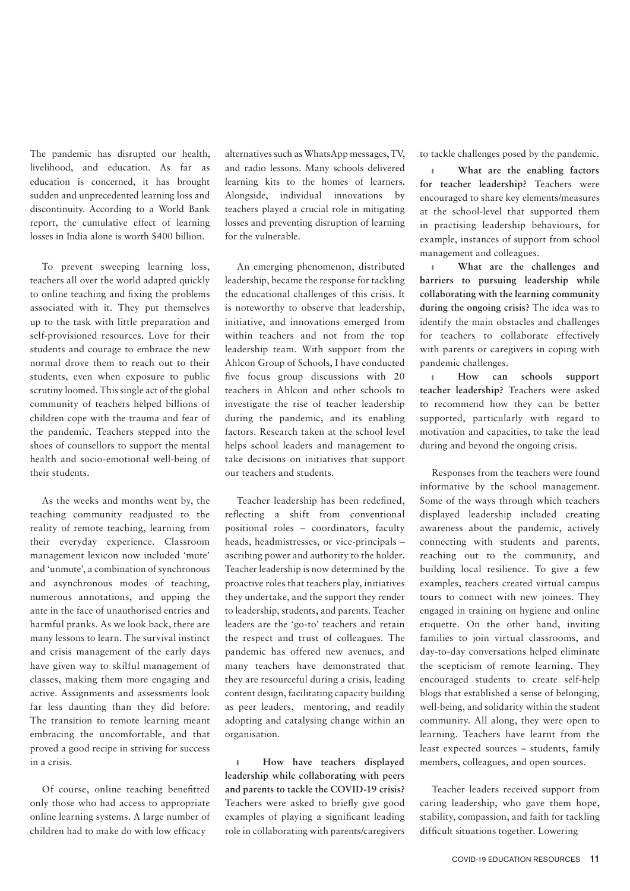The pandemic has disrupted our health, livelihood, and education. As far as education is concerned, it has brought sudden and unprecedented learning loss and discontinuity. According to a World Bank report, the cumulative effect of learning losses in India alone is worth \$400 billion.

To prevent sweeping learning loss, teachers all over the world adapted quickly to online teaching and fixing the problems associated with it. They put themselves up to the task with little preparation and self-provisioned resources. Love for their students and courage to embrace the new normal drove them to reach out to their students, even when exposure to public scrutiny loomed. This single act of the global community of teachers helped billions of children cope with the trauma and fear of the pandemic. Teachers stepped into the shoes of counsellors to support the mental health and socio-emotional well-being of their students.

As the weeks and months went by, the teaching community readjusted to the reality of remote teaching, learning from their everyday experience. Classroom management lexicon now included 'mute' and 'unmute', a combination of synchronous and asynchronous modes of teaching, numerous annotations, and upping the ante in the face of unauthorised entries and harmful pranks. As we look back, there are many lessons to learn. The survival instinct and crisis management of the early days have given way to skilful management of classes, making them more engaging and active. Assignments and assessments look far less daunting than they did before. The transition to remote learning meant embracing the uncomfortable, and that proved a good recipe in striving for success in a crisis.

Of course, online teaching benefitted only those who had access to appropriate online learning systems. A large number of children had to make do with low efficacy

alternatives such as WhatsApp messages, TV, and radio lessons. Many schools delivered learning kits to the homes of learners. Alongside, individual innovations by teachers played a crucial role in mitigating losses and preventing disruption of learning for the vulnerable.

An emerging phenomenon, distributed leadership, became the response for tackling the educational challenges of this crisis. It is noteworthy to observe that leadership, initiative, and innovations emerged from within teachers and not from the top leadership team. With support from the Ahlcon Group of Schools, I have conducted five focus group discussions with 20 teachers in Ahlcon and other schools to investigate the rise of teacher leadership during the pandemic, and its enabling factors. Research taken at the school level helps school leaders and management to take decisions on initiatives that support our teachers and students.

Teacher leadership has been redefined, reflecting a shift from conventional positional roles – coordinators, faculty heads, headmistresses, or vice-principals – ascribing power and authority to the holder. Teacher leadership is now determined by the proactive roles that teachers play, initiatives they undertake, and the support they render to leadership, students, and parents. Teacher leaders are the 'go-to' teachers and retain the respect and trust of colleagues. The pandemic has offered new avenues, and many teachers have demonstrated that they are resourceful during a crisis, leading content design, facilitating capacity building as peer leaders, mentoring, and readily adopting and catalysing change within an organisation.

**How have teachers displayed**   $\mathbf{r}$ **leadership while collaborating with peers and parents to tackle the COVID-19 crisis?** Teachers were asked to briefly give good examples of playing a significant leading role in collaborating with parents/caregivers

to tackle challenges posed by the pandemic.

à. **What are the enabling factors for teacher leadership?** Teachers were encouraged to share key elements/measures at the school-level that supported them in practising leadership behaviours, for example, instances of support from school management and colleagues.

 $\mathbf{r}$ **What are the challenges and barriers to pursuing leadership while collaborating with the learning community during the ongoing crisis?** The idea was to identify the main obstacles and challenges for teachers to collaborate effectively with parents or caregivers in coping with pandemic challenges.

 $\mathbb{R}^2$ **How can schools support teacher leadership?** Teachers were asked to recommend how they can be better supported, particularly with regard to motivation and capacities, to take the lead during and beyond the ongoing crisis.

Responses from the teachers were found informative by the school management. Some of the ways through which teachers displayed leadership included creating awareness about the pandemic, actively connecting with students and parents, reaching out to the community, and building local resilience. To give a few examples, teachers created virtual campus tours to connect with new joinees. They engaged in training on hygiene and online etiquette. On the other hand, inviting families to join virtual classrooms, and day-to-day conversations helped eliminate the scepticism of remote learning. They encouraged students to create self-help blogs that established a sense of belonging, well-being, and solidarity within the student community. All along, they were open to learning. Teachers have learnt from the least expected sources – students, family members, colleagues, and open sources.

Teacher leaders received support from caring leadership, who gave them hope, stability, compassion, and faith for tackling difficult situations together. Lowering